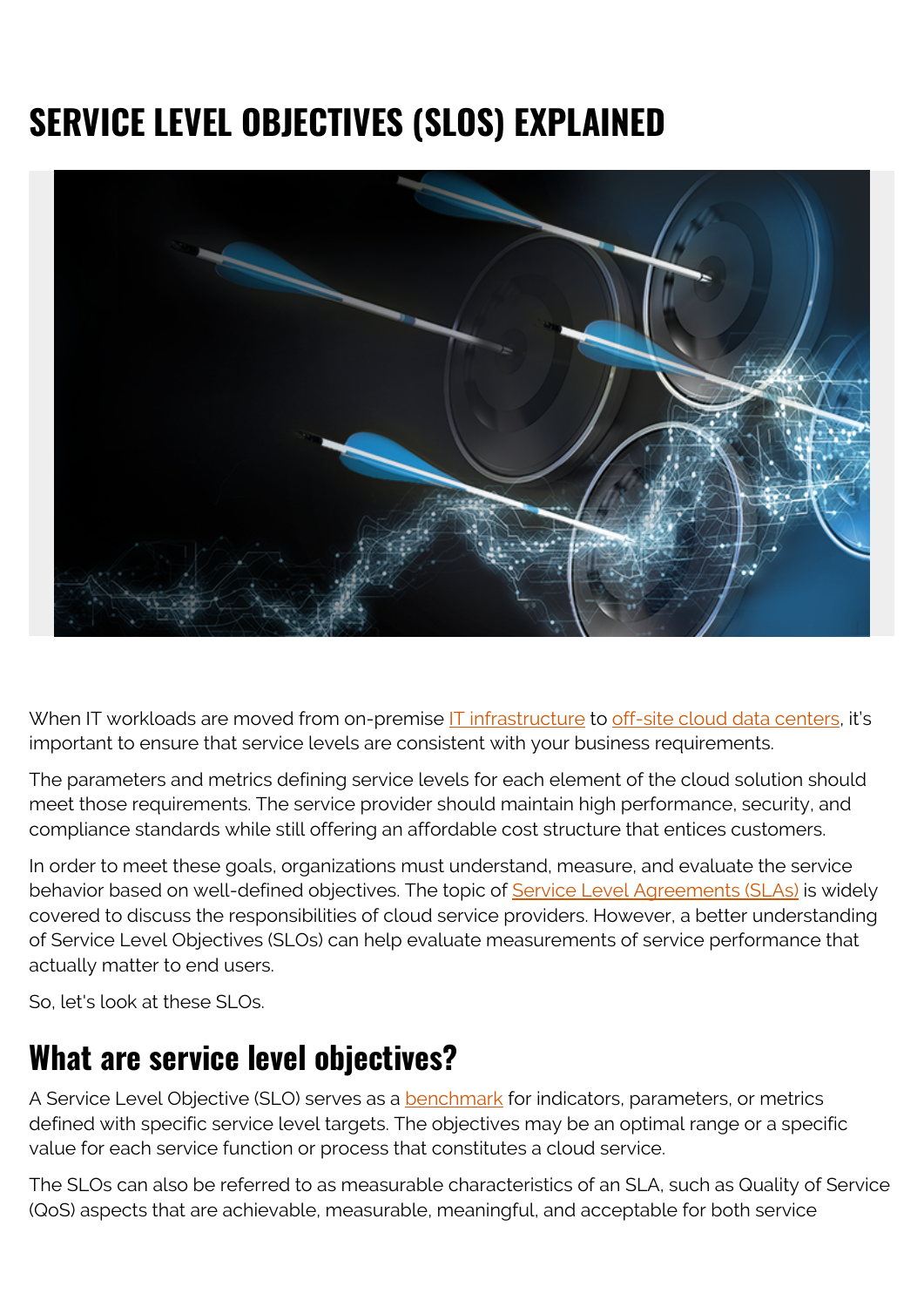# **SERVICE LEVEL OBJECTIVES (SLOS) EXPLAINED**



When IT workloads are moved from on-premise [IT infrastructure](https://blogs.bmc.com/blogs/what-is-it-infrastructure-and-what-are-its-components/) to [off-site cloud data centers](https://blogs.bmc.com/blogs/saas-vs-paas-vs-iaas-whats-the-difference-and-how-to-choose/), it's important to ensure that service levels are consistent with your business requirements.

The parameters and metrics defining service levels for each element of the cloud solution should meet those requirements. The service provider should maintain high performance, security, and compliance standards while still offering an affordable cost structure that entices customers.

In order to meet these goals, organizations must understand, measure, and evaluate the service behavior based on well-defined objectives. The topic of [Service Level Agreements \(SLAs\)](https://blogs.bmc.com/blogs/sla-template-examples/) is widely covered to discuss the responsibilities of cloud service providers. However, a better understanding of Service Level Objectives (SLOs) can help evaluate measurements of service performance that actually matter to end users.

So, let's look at these SLOs.

### **What are service level objectives?**

A Service Level Objective (SLO) serves as a **benchmark** for indicators, parameters, or metrics defined with specific service level targets. The objectives may be an optimal range or a specific value for each service function or process that constitutes a cloud service.

The SLOs can also be referred to as measurable characteristics of an SLA, such as Quality of Service (QoS) aspects that are achievable, measurable, meaningful, and acceptable for both service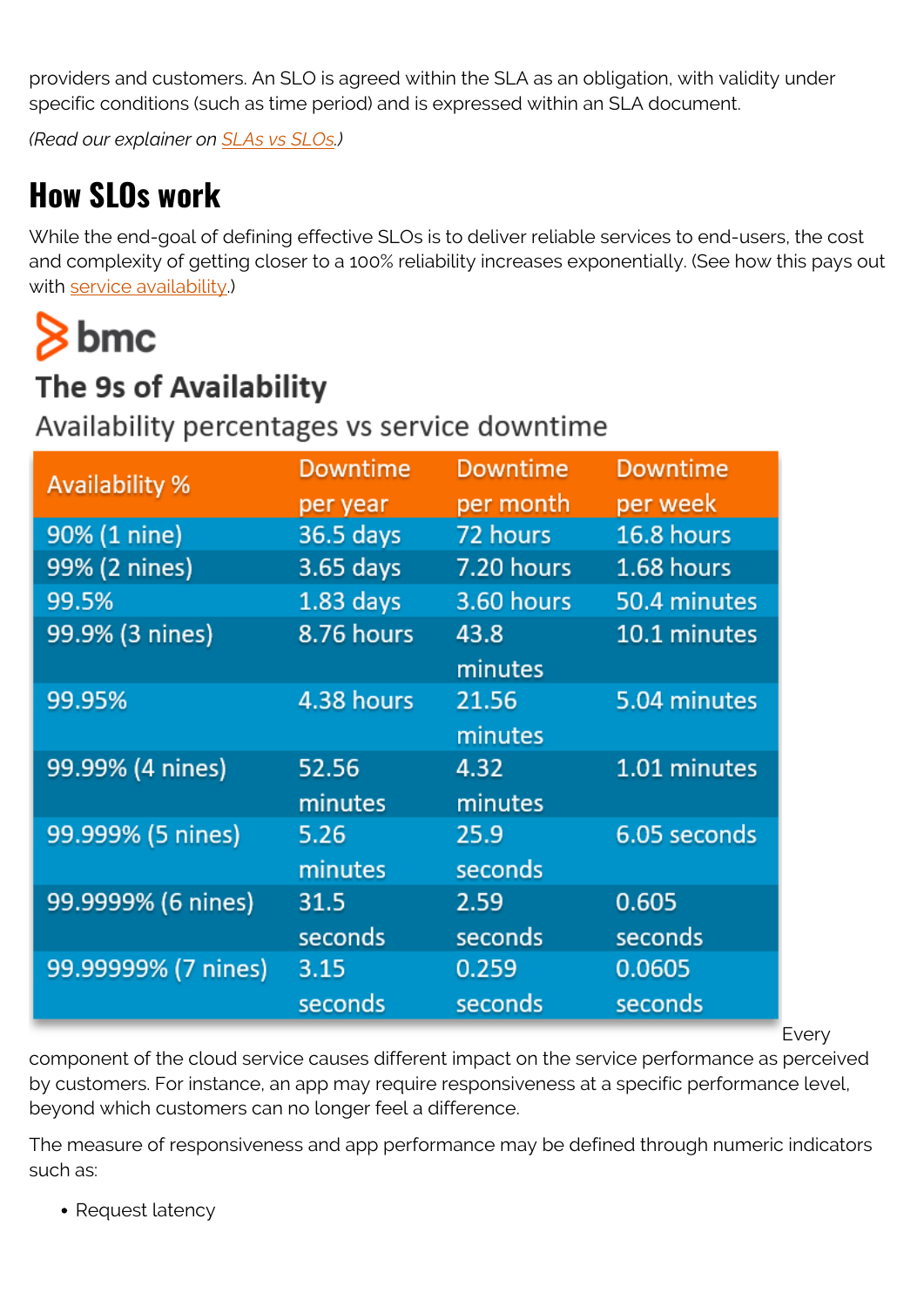providers and customers. An SLO is agreed within the SLA as an obligation, with validity under specific conditions (such as time period) and is expressed within an SLA document.

*(Read our explainer on [SLAs vs SLOs.](https://blogs.bmc.com/blogs/slo-service-level-objectives/))*

## **How SLOs work**

While the end-goal of defining effective SLOs is to deliver reliable services to end-users, the cost and complexity of getting closer to a 100% reliability increases exponentially. (See how this pays out with [service availability](https://blogs.bmc.com/blogs/service-availability-calculation-metrics/).)

# $8<sub>bmc</sub>$

### The 9s of Availability

Availability percentages vs service downtime

| <b>Availability %</b> | <b>Downtime</b> | <b>Downtime</b> | <b>Downtime</b> |
|-----------------------|-----------------|-----------------|-----------------|
|                       | per year        | per month       | per week        |
| 90% (1 nine)          | 36.5 days       | 72 hours        | 16.8 hours      |
| 99% (2 nines)         | 3.65 days       | 7.20 hours      | 1.68 hours      |
| 99.5%                 | $1.83$ days     | 3.60 hours      | 50.4 minutes    |
| 99.9% (3 nines)       | 8.76 hours      | 43.8            | 10.1 minutes    |
|                       |                 | minutes         |                 |
| 99.95%                | 4.38 hours      | 21.56           | 5.04 minutes    |
|                       |                 | minutes         |                 |
| 99.99% (4 nines)      | 52.56           | 4.32            | $1.01$ minutes  |
|                       | minutes         | minutes         |                 |
| 99.999% (5 nines)     | 5.26            | 25.9            | 6.05 seconds    |
|                       | minutes         | seconds         |                 |
| 99.9999% (6 nines)    | 31.5            | 2.59            | 0.605           |
|                       | seconds         | seconds         | seconds         |
| 99.99999% (7 nines)   | 3.15            | 0.259           | 0.0605          |
|                       | seconds         | seconds         | seconds         |
|                       |                 |                 |                 |

Every

component of the cloud service causes different impact on the service performance as perceived by customers. For instance, an app may require responsiveness at a specific performance level, beyond which customers can no longer feel a difference.

The measure of responsiveness and app performance may be defined through numeric indicators such as:

• Request latency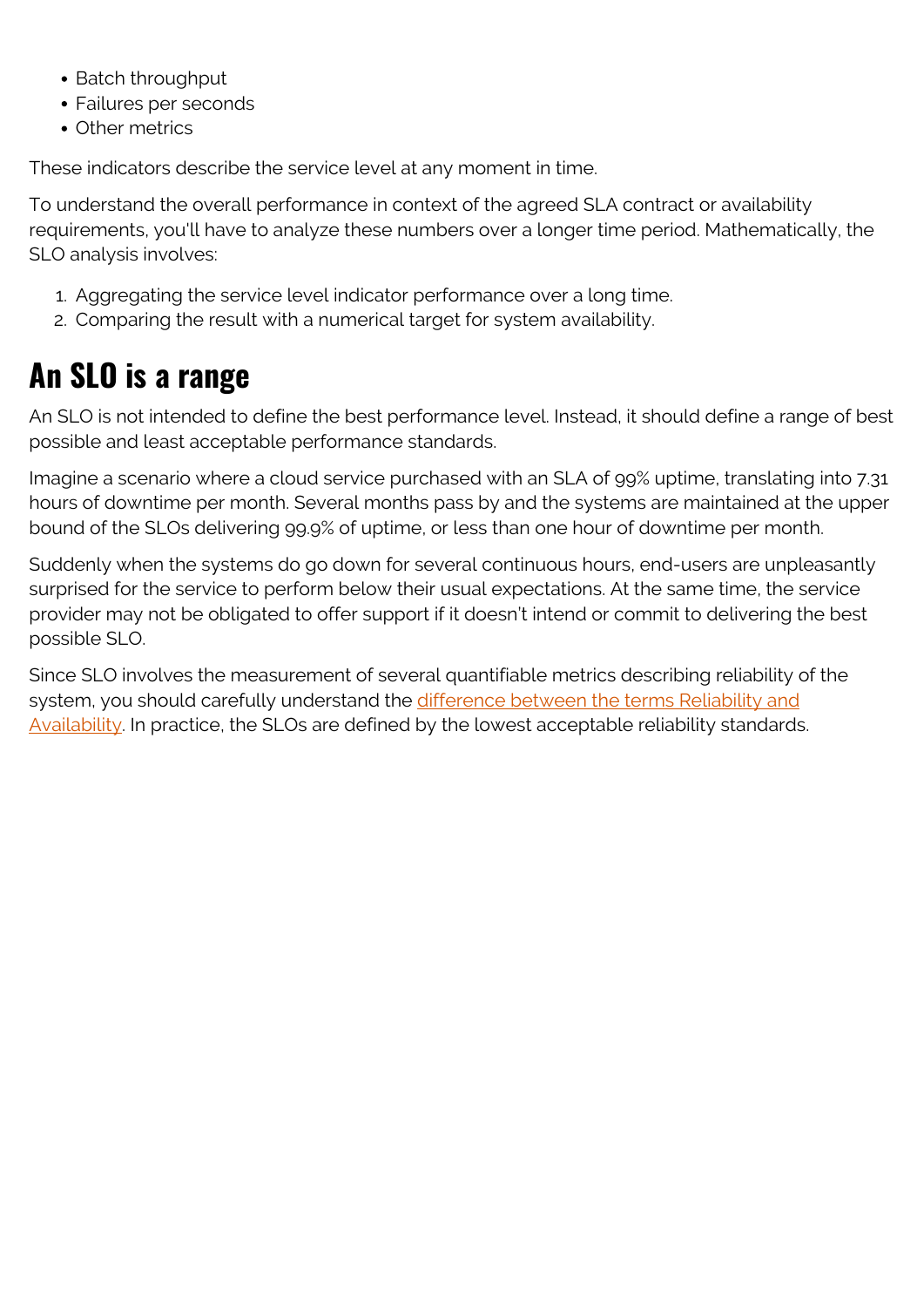- Batch throughput
- Failures per seconds
- Other metrics

These indicators describe the service level at any moment in time.

To understand the overall performance in context of the agreed SLA contract or availability requirements, you'll have to analyze these numbers over a longer time period. Mathematically, the SLO analysis involves:

- 1. Aggregating the service level indicator performance over a long time.
- 2. Comparing the result with a numerical target for system availability.

# **An SLO is a range**

An SLO is not intended to define the best performance level. Instead, it should define a range of best possible and least acceptable performance standards.

Imagine a scenario where a cloud service purchased with an SLA of 99% uptime, translating into 7.31 hours of downtime per month. Several months pass by and the systems are maintained at the upper bound of the SLOs delivering 99.9% of uptime, or less than one hour of downtime per month.

Suddenly when the systems do go down for several continuous hours, end-users are unpleasantly surprised for the service to perform below their usual expectations. At the same time, the service provider may not be obligated to offer support if it doesn't intend or commit to delivering the best possible SLO.

Since SLO involves the measurement of several quantifiable metrics describing reliability of the system, you should carefully understand the [difference between the terms Reliability and](https://blogs.bmc.com/blogs/reliability-vs-availability/) [Availability.](https://blogs.bmc.com/blogs/reliability-vs-availability/) In practice, the SLOs are defined by the lowest acceptable reliability standards.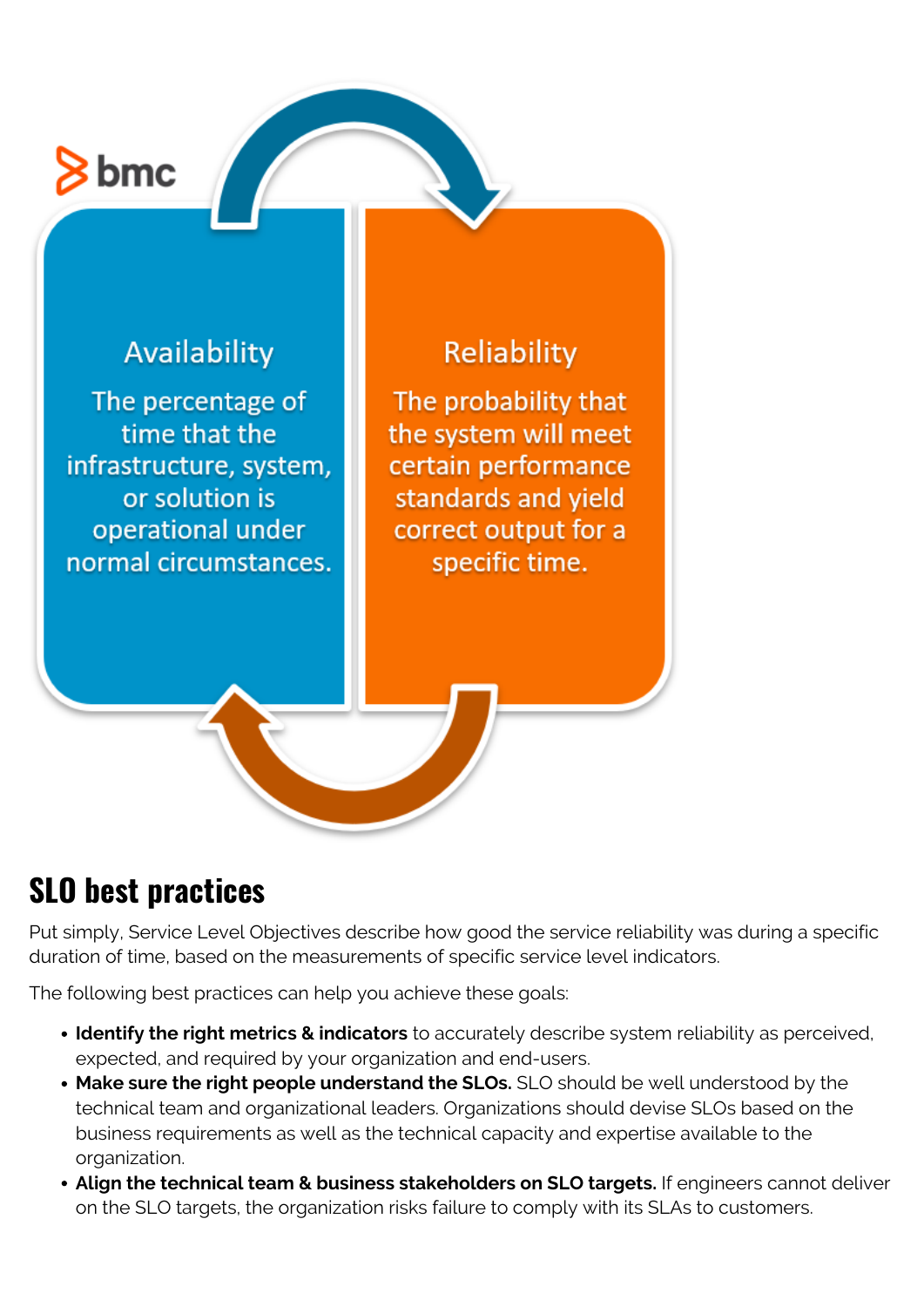# $\frac{1}{2}$  bmc

#### Availability

The percentage of time that the infrastructure, system, or solution is operational under normal circumstances.

#### Reliability

The probability that the system will meet certain performance standards and vield correct output for a specific time.

## **SLO best practices**

Put simply, Service Level Objectives describe how good the service reliability was during a specific duration of time, based on the measurements of specific service level indicators.

The following best practices can help you achieve these goals:

- **Identify the right metrics & indicators** to accurately describe system reliability as perceived, expected, and required by your organization and end-users.
- **Make sure the right people understand the SLOs.** SLO should be well understood by the technical team and organizational leaders. Organizations should devise SLOs based on the business requirements as well as the technical capacity and expertise available to the organization.
- **Align the technical team & business stakeholders on SLO targets.** If engineers cannot deliver on the SLO targets, the organization risks failure to comply with its SLAs to customers.